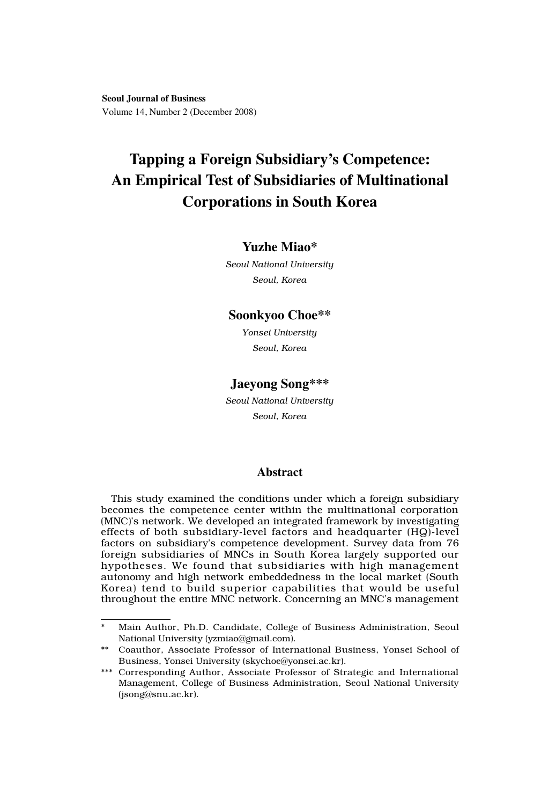**Seoul Journal of Business** Volume 14, Number 2 (December 2008)

# **Tapping a Foreign Subsidiary's Competence: An Empirical Test of Subsidiaries of Multinational Corporations in South Korea**

## **Yuzhe Miao\***

*Seoul National University Seoul, Korea*

## **Soonkyoo Choe\*\***

*Yonsei University Seoul, Korea*

## **Jaeyong Song\*\*\***

*Seoul National University Seoul, Korea*

### **Abstract**

This study examined the conditions under which a foreign subsidiary becomes the competence center within the multinational corporation (MNC)'s network. We developed an integrated framework by investigating effects of both subsidiary-level factors and headquarter (HQ)-level factors on subsidiary's competence development. Survey data from 76 foreign subsidiaries of MNCs in South Korea largely supported our hypotheses. We found that subsidiaries with high management autonomy and high network embeddedness in the local market (South Korea) tend to build superior capabilities that would be useful throughout the entire MNC network. Concerning an MNC's management

<sup>\*</sup> Main Author, Ph.D. Candidate, College of Business Administration, Seoul National University (yzmiao@gmail.com).

<sup>\*\*</sup> Coauthor, Associate Professor of International Business, Yonsei School of Business, Yonsei University (skychoe@yonsei.ac.kr).

<sup>\*\*\*</sup> Corresponding Author, Associate Professor of Strategic and International Management, College of Business Administration, Seoul National University (jsong@snu.ac.kr).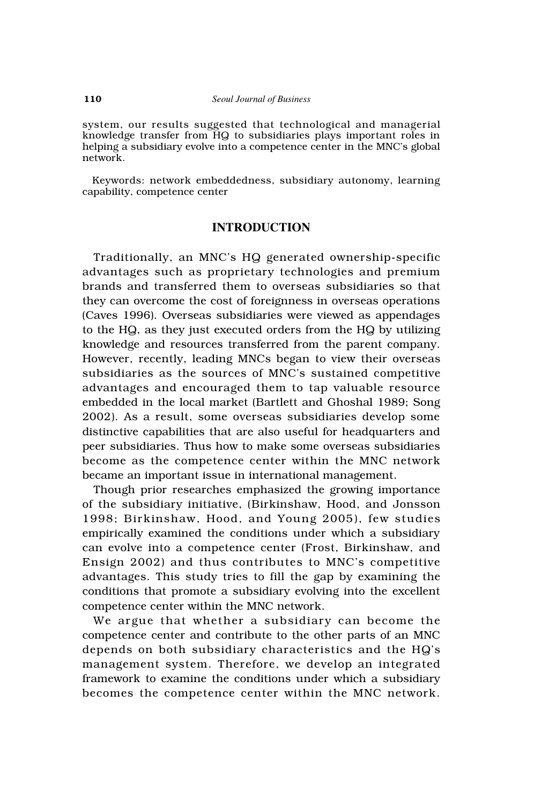system, our results suggested that technological and managerial knowledge transfer from HQ to subsidiaries plays important roles in helping a subsidiary evolve into a competence center in the MNC's global network.

Keywords: network embeddedness, subsidiary autonomy, learning capability, competence center

## **INTRODUCTION**

Traditionally, an MNC's HQ generated ownership-specific advantages such as proprietary technologies and premium brands and transferred them to overseas subsidiaries so that they can overcome the cost of foreignness in overseas operations (Caves 1996). Overseas subsidiaries were viewed as appendages to the HQ, as they just executed orders from the HQ by utilizing knowledge and resources transferred from the parent company. However, recently, leading MNCs began to view their overseas subsidiaries as the sources of MNC's sustained competitive advantages and encouraged them to tap valuable resource embedded in the local market (Bartlett and Ghoshal 1989; Song 2002). As a result, some overseas subsidiaries develop some distinctive capabilities that are also useful for headquarters and peer subsidiaries. Thus how to make some overseas subsidiaries become as the competence center within the MNC network became an important issue in international management.

Though prior researches emphasized the growing importance of the subsidiary initiative, (Birkinshaw, Hood, and Jonsson 1998; Birkinshaw, Hood, and Young 2005), few studies empirically examined the conditions under which a subsidiary can evolve into a competence center (Frost, Birkinshaw, and Ensign 2002) and thus contributes to MNC's competitive advantages. This study tries to fill the gap by examining the conditions that promote a subsidiary evolving into the excellent competence center within the MNC network.

We argue that whether a subsidiary can become the competence center and contribute to the other parts of an MNC depends on both subsidiary characteristics and the HQ's management system. Therefore, we develop an integrated framework to examine the conditions under which a subsidiary becomes the competence center within the MNC network.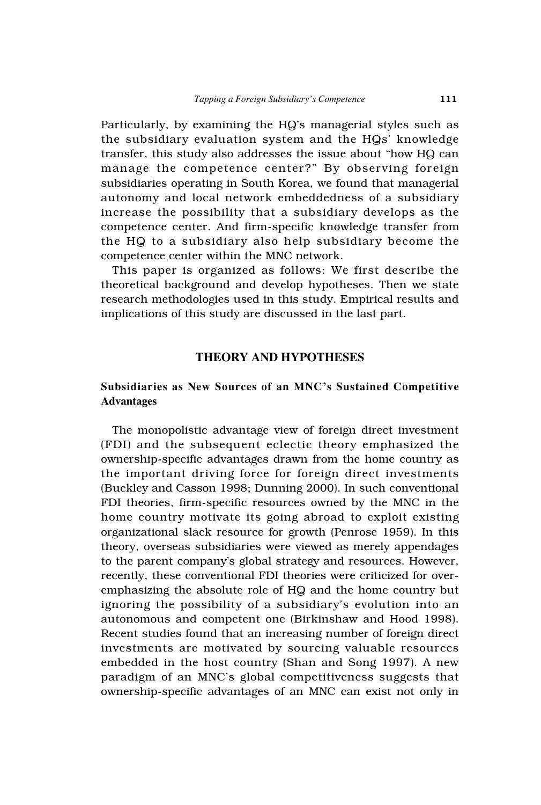Particularly, by examining the HQ's managerial styles such as the subsidiary evaluation system and the HQs' knowledge transfer, this study also addresses the issue about "how HQ can manage the competence center?" By observing foreign subsidiaries operating in South Korea, we found that managerial autonomy and local network embeddedness of a subsidiary increase the possibility that a subsidiary develops as the competence center. And firm-specific knowledge transfer from the HQ to a subsidiary also help subsidiary become the competence center within the MNC network.

This paper is organized as follows: We first describe the theoretical background and develop hypotheses. Then we state research methodologies used in this study. Empirical results and implications of this study are discussed in the last part.

## **THEORY AND HYPOTHESES**

## **Subsidiaries as New Sources of an MNC's Sustained Competitive Advantages**

The monopolistic advantage view of foreign direct investment (FDI) and the subsequent eclectic theory emphasized the ownership-specific advantages drawn from the home country as the important driving force for foreign direct investments (Buckley and Casson 1998; Dunning 2000). In such conventional FDI theories, firm-specific resources owned by the MNC in the home country motivate its going abroad to exploit existing organizational slack resource for growth (Penrose 1959). In this theory, overseas subsidiaries were viewed as merely appendages to the parent company's global strategy and resources. However, recently, these conventional FDI theories were criticized for overemphasizing the absolute role of HQ and the home country but ignoring the possibility of a subsidiary's evolution into an autonomous and competent one (Birkinshaw and Hood 1998). Recent studies found that an increasing number of foreign direct investments are motivated by sourcing valuable resources embedded in the host country (Shan and Song 1997). A new paradigm of an MNC's global competitiveness suggests that ownership-specific advantages of an MNC can exist not only in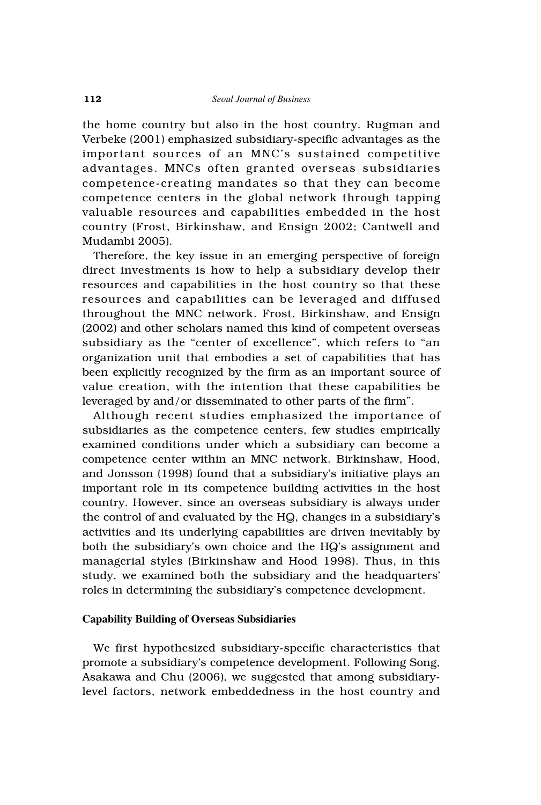the home country but also in the host country. Rugman and Verbeke (2001) emphasized subsidiary-specific advantages as the important sources of an MNC's sustained competitive advantages. MNCs often granted overseas subsidiaries competence-creating mandates so that they can become competence centers in the global network through tapping valuable resources and capabilities embedded in the host country (Frost, Birkinshaw, and Ensign 2002; Cantwell and Mudambi 2005).

Therefore, the key issue in an emerging perspective of foreign direct investments is how to help a subsidiary develop their resources and capabilities in the host country so that these resources and capabilities can be leveraged and diffused throughout the MNC network. Frost, Birkinshaw, and Ensign (2002) and other scholars named this kind of competent overseas subsidiary as the "center of excellence", which refers to "an organization unit that embodies a set of capabilities that has been explicitly recognized by the firm as an important source of value creation, with the intention that these capabilities be leveraged by and/or disseminated to other parts of the firm".

Although recent studies emphasized the importance of subsidiaries as the competence centers, few studies empirically examined conditions under which a subsidiary can become a competence center within an MNC network. Birkinshaw, Hood, and Jonsson (1998) found that a subsidiary's initiative plays an important role in its competence building activities in the host country. However, since an overseas subsidiary is always under the control of and evaluated by the HQ, changes in a subsidiary's activities and its underlying capabilities are driven inevitably by both the subsidiary's own choice and the HQ's assignment and managerial styles (Birkinshaw and Hood 1998). Thus, in this study, we examined both the subsidiary and the headquarters' roles in determining the subsidiary's competence development.

## **Capability Building of Overseas Subsidiaries**

We first hypothesized subsidiary-specific characteristics that promote a subsidiary's competence development. Following Song, Asakawa and Chu (2006), we suggested that among subsidiarylevel factors, network embeddedness in the host country and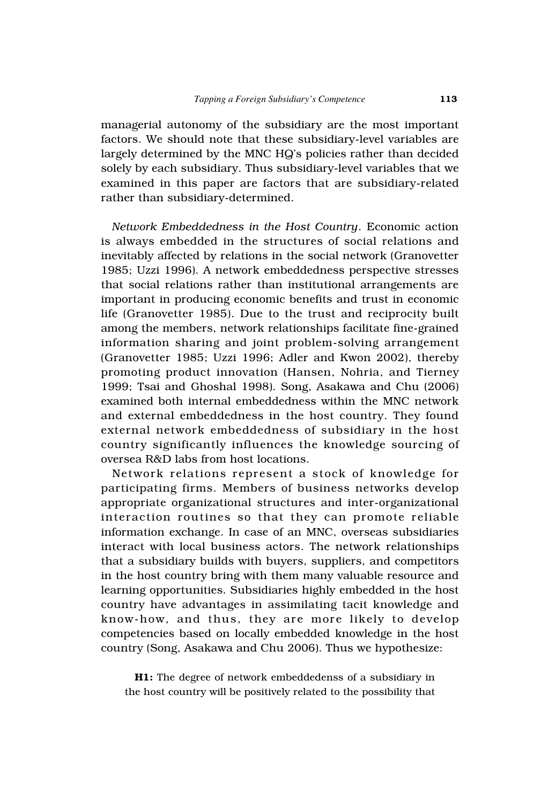managerial autonomy of the subsidiary are the most important factors. We should note that these subsidiary-level variables are largely determined by the MNC HQ's policies rather than decided solely by each subsidiary. Thus subsidiary-level variables that we examined in this paper are factors that are subsidiary-related rather than subsidiary-determined.

*Network Embeddedness in the Host Country*. Economic action is always embedded in the structures of social relations and inevitably affected by relations in the social network (Granovetter 1985; Uzzi 1996). A network embeddedness perspective stresses that social relations rather than institutional arrangements are important in producing economic benefits and trust in economic life (Granovetter 1985). Due to the trust and reciprocity built among the members, network relationships facilitate fine-grained information sharing and joint problem-solving arrangement (Granovetter 1985; Uzzi 1996; Adler and Kwon 2002), thereby promoting product innovation (Hansen, Nohria, and Tierney 1999; Tsai and Ghoshal 1998). Song, Asakawa and Chu (2006) examined both internal embeddedness within the MNC network and external embeddedness in the host country. They found external network embeddedness of subsidiary in the host country significantly influences the knowledge sourcing of oversea R&D labs from host locations.

Network relations represent a stock of knowledge for participating firms. Members of business networks develop appropriate organizational structures and inter-organizational interaction routines so that they can promote reliable information exchange. In case of an MNC, overseas subsidiaries interact with local business actors. The network relationships that a subsidiary builds with buyers, suppliers, and competitors in the host country bring with them many valuable resource and learning opportunities. Subsidiaries highly embedded in the host country have advantages in assimilating tacit knowledge and know-how, and thus, they are more likely to develop competencies based on locally embedded knowledge in the host country (Song, Asakawa and Chu 2006). Thus we hypothesize:

**H1:** The degree of network embeddedenss of a subsidiary in the host country will be positively related to the possibility that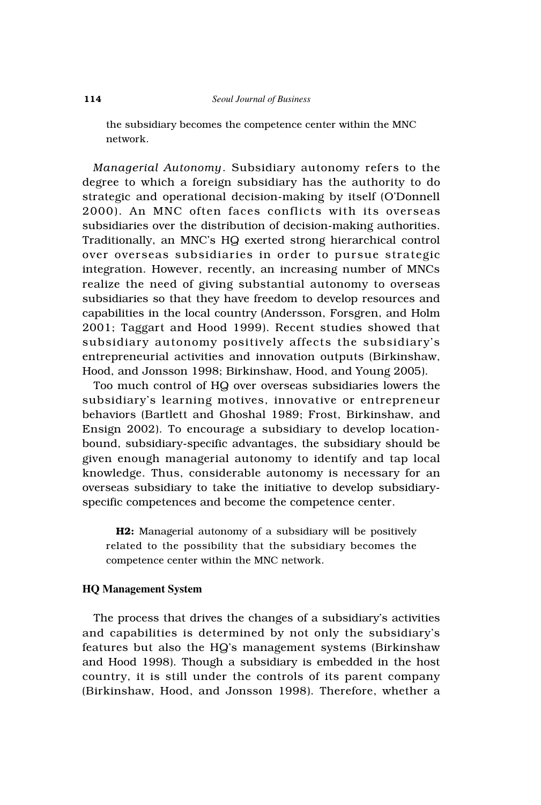the subsidiary becomes the competence center within the MNC network.

*Managerial Autonomy*. Subsidiary autonomy refers to the degree to which a foreign subsidiary has the authority to do strategic and operational decision-making by itself (O'Donnell 2000). An MNC often faces conflicts with its overseas subsidiaries over the distribution of decision-making authorities. Traditionally, an MNC's HQ exerted strong hierarchical control over overseas subsidiaries in order to pursue strategic integration. However, recently, an increasing number of MNCs realize the need of giving substantial autonomy to overseas subsidiaries so that they have freedom to develop resources and capabilities in the local country (Andersson, Forsgren, and Holm 2001; Taggart and Hood 1999). Recent studies showed that subsidiary autonomy positively affects the subsidiary's entrepreneurial activities and innovation outputs (Birkinshaw, Hood, and Jonsson 1998; Birkinshaw, Hood, and Young 2005).

Too much control of HQ over overseas subsidiaries lowers the subsidiary's learning motives, innovative or entrepreneur behaviors (Bartlett and Ghoshal 1989; Frost, Birkinshaw, and Ensign 2002). To encourage a subsidiary to develop locationbound, subsidiary-specific advantages, the subsidiary should be given enough managerial autonomy to identify and tap local knowledge. Thus, considerable autonomy is necessary for an overseas subsidiary to take the initiative to develop subsidiaryspecific competences and become the competence center.

**H2:** Managerial autonomy of a subsidiary will be positively related to the possibility that the subsidiary becomes the competence center within the MNC network.

## **HQ Management System**

The process that drives the changes of a subsidiary's activities and capabilities is determined by not only the subsidiary's features but also the HQ's management systems (Birkinshaw and Hood 1998). Though a subsidiary is embedded in the host country, it is still under the controls of its parent company (Birkinshaw, Hood, and Jonsson 1998). Therefore, whether a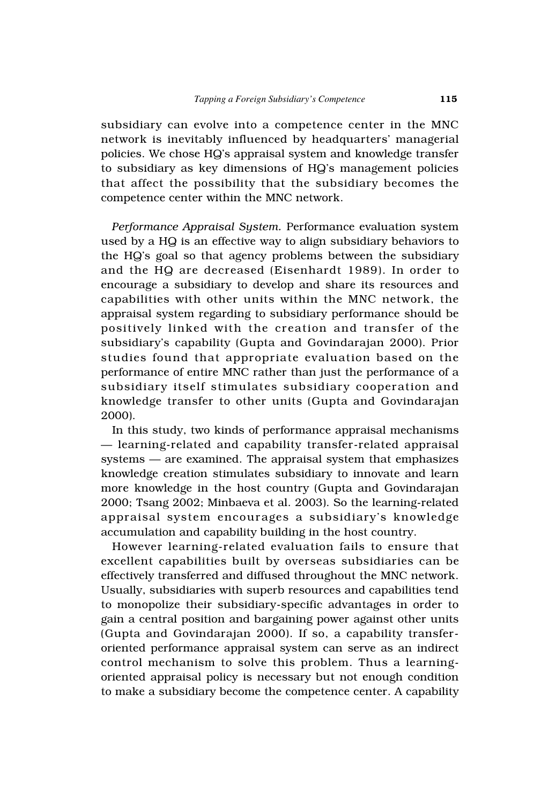subsidiary can evolve into a competence center in the MNC network is inevitably influenced by headquarters' managerial policies. We chose HQ's appraisal system and knowledge transfer to subsidiary as key dimensions of HQ's management policies that affect the possibility that the subsidiary becomes the competence center within the MNC network.

*Performance Appraisal System.* Performance evaluation system used by a HQ is an effective way to align subsidiary behaviors to the HQ's goal so that agency problems between the subsidiary and the HQ are decreased (Eisenhardt 1989). In order to encourage a subsidiary to develop and share its resources and capabilities with other units within the MNC network, the appraisal system regarding to subsidiary performance should be positively linked with the creation and transfer of the subsidiary's capability (Gupta and Govindarajan 2000). Prior studies found that appropriate evaluation based on the performance of entire MNC rather than just the performance of a subsidiary itself stimulates subsidiary cooperation and knowledge transfer to other units (Gupta and Govindarajan 2000).

In this study, two kinds of performance appraisal mechanisms — learning-related and capability transfer-related appraisal systems — are examined. The appraisal system that emphasizes knowledge creation stimulates subsidiary to innovate and learn more knowledge in the host country (Gupta and Govindarajan 2000; Tsang 2002; Minbaeva et al. 2003). So the learning-related appraisal system encourages a subsidiary's knowledge accumulation and capability building in the host country.

However learning-related evaluation fails to ensure that excellent capabilities built by overseas subsidiaries can be effectively transferred and diffused throughout the MNC network. Usually, subsidiaries with superb resources and capabilities tend to monopolize their subsidiary-specific advantages in order to gain a central position and bargaining power against other units (Gupta and Govindarajan 2000). If so, a capability transferoriented performance appraisal system can serve as an indirect control mechanism to solve this problem. Thus a learningoriented appraisal policy is necessary but not enough condition to make a subsidiary become the competence center. A capability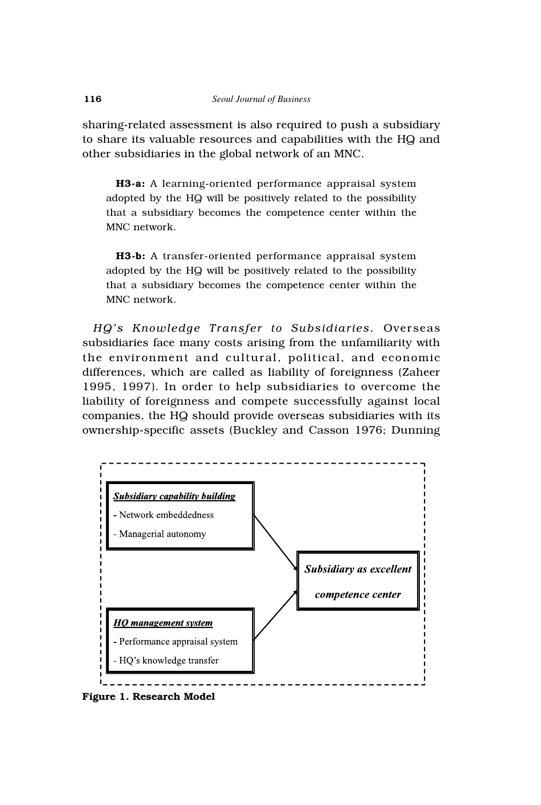sharing-related assessment is also required to push a subsidiary to share its valuable resources and capabilities with the HQ and other subsidiaries in the global network of an MNC.

**H3-a:** A learning-oriented performance appraisal system adopted by the HQ will be positively related to the possibility that a subsidiary becomes the competence center within the MNC network.

**H3-b:** A transfer-oriented performance appraisal system adopted by the HQ will be positively related to the possibility that a subsidiary becomes the competence center within the MNC network.

*HQ's Knowledge Transfer to Subsidiaries.* Overseas subsidiaries face many costs arising from the unfamiliarity with the environment and cultural, political, and economic differences, which are called as liability of foreignness (Zaheer 1995, 1997). In order to help subsidiaries to overcome the liability of foreignness and compete successfully against local companies, the HQ should provide overseas subsidiaries with its ownership-specific assets (Buckley and Casson 1976; Dunning



**Figure 1. Research Model**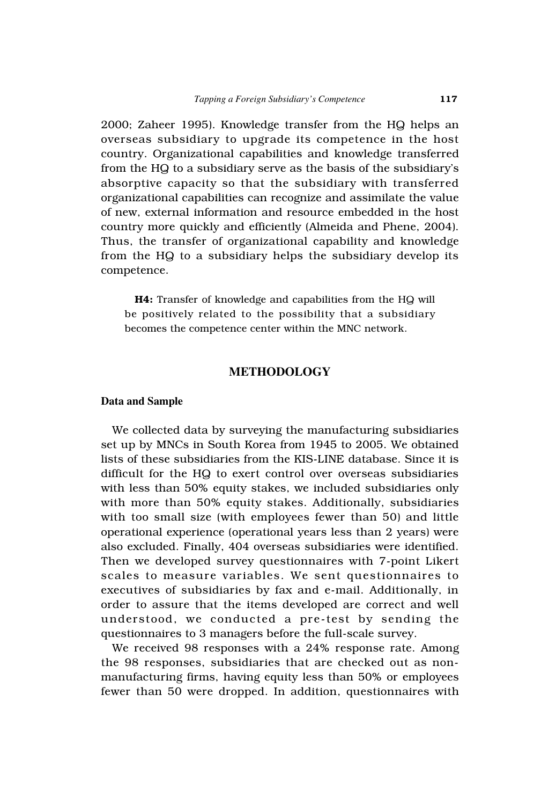2000; Zaheer 1995). Knowledge transfer from the HQ helps an overseas subsidiary to upgrade its competence in the host country. Organizational capabilities and knowledge transferred from the HQ to a subsidiary serve as the basis of the subsidiary's absorptive capacity so that the subsidiary with transferred organizational capabilities can recognize and assimilate the value of new, external information and resource embedded in the host country more quickly and efficiently (Almeida and Phene, 2004). Thus, the transfer of organizational capability and knowledge from the HQ to a subsidiary helps the subsidiary develop its competence.

**H4:** Transfer of knowledge and capabilities from the HQ will be positively related to the possibility that a subsidiary becomes the competence center within the MNC network.

## **METHODOLOGY**

#### **Data and Sample**

We collected data by surveying the manufacturing subsidiaries set up by MNCs in South Korea from 1945 to 2005. We obtained lists of these subsidiaries from the KIS-LINE database. Since it is difficult for the HQ to exert control over overseas subsidiaries with less than 50% equity stakes, we included subsidiaries only with more than 50% equity stakes. Additionally, subsidiaries with too small size (with employees fewer than 50) and little operational experience (operational years less than 2 years) were also excluded. Finally, 404 overseas subsidiaries were identified. Then we developed survey questionnaires with 7-point Likert scales to measure variables. We sent questionnaires to executives of subsidiaries by fax and e-mail. Additionally, in order to assure that the items developed are correct and well understood, we conducted a pre-test by sending the questionnaires to 3 managers before the full-scale survey.

We received 98 responses with a 24% response rate. Among the 98 responses, subsidiaries that are checked out as nonmanufacturing firms, having equity less than 50% or employees fewer than 50 were dropped. In addition, questionnaires with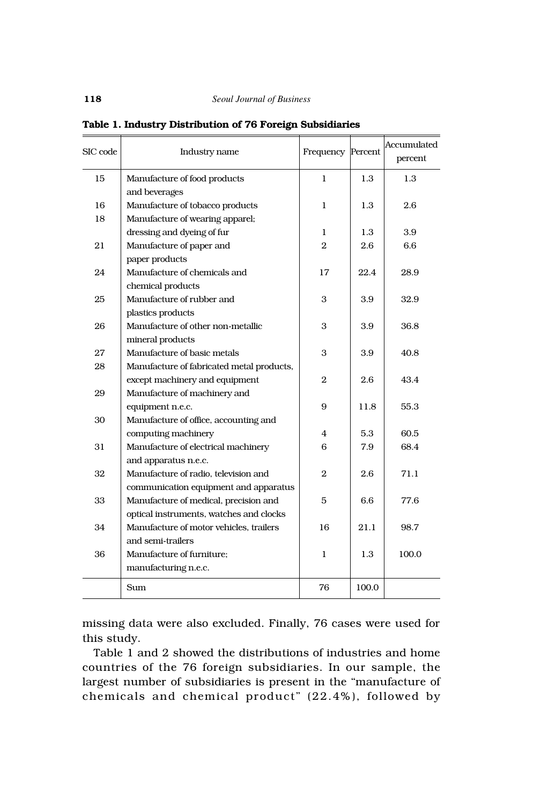| SIC code | Industry name                                     | Frequency Percent |       | Accumulated<br>percent |
|----------|---------------------------------------------------|-------------------|-------|------------------------|
| 15       | Manufacture of food products                      | 1                 | 1.3   | 1.3                    |
|          | and beverages                                     |                   |       |                        |
| 16       | Manufacture of tobacco products                   | 1                 | 1.3   | 2.6                    |
| 18       | Manufacture of wearing apparel;                   |                   |       |                        |
|          | dressing and dyeing of fur                        | 1                 | 1.3   | 3.9                    |
| 21       | Manufacture of paper and                          | $\overline{2}$    | 2.6   | 6.6                    |
|          | paper products                                    |                   |       |                        |
| 24       | Manufacture of chemicals and                      | 17                | 22.4  | 28.9                   |
|          | chemical products                                 |                   |       |                        |
| 25       | Manufacture of rubber and                         | 3                 | 3.9   | 32.9                   |
|          | plastics products                                 |                   |       |                        |
| 26       | Manufacture of other non-metallic                 | 3                 | 3.9   | 36.8                   |
|          | mineral products                                  |                   |       |                        |
| 27       | Manufacture of basic metals                       | 3                 | 3.9   | 40.8                   |
| 28       | Manufacture of fabricated metal products,         |                   |       |                        |
|          | except machinery and equipment                    | $\mathbf{2}$      | 2.6   | 43.4                   |
| 29       | Manufacture of machinery and                      |                   |       |                        |
|          | equipment n.e.c.                                  | 9                 | 11.8  | 55.3                   |
| 30       | Manufacture of office, accounting and             |                   |       |                        |
|          | computing machinery                               | 4                 | 5.3   | 60.5                   |
| 31       | Manufacture of electrical machinery               | 6                 | 7.9   | 68.4                   |
|          | and apparatus n.e.c.                              |                   |       |                        |
| 32       | Manufacture of radio, television and              | $\overline{2}$    | 2.6   | 71.1                   |
|          | communication equipment and apparatus             |                   |       |                        |
| 33       | Manufacture of medical, precision and<br>5<br>6.6 |                   | 77.6  |                        |
|          | optical instruments, watches and clocks           |                   |       |                        |
| 34       | Manufacture of motor vehicles, trailers           | 16                | 21.1  | 98.7                   |
|          | and semi-trailers                                 |                   |       |                        |
| 36       | Manufacture of furniture;                         | $\mathbf{1}$      | 1.3   | 100.0                  |
|          | manufacturing n.e.c.                              |                   |       |                        |
|          | Sum                                               | 76                | 100.0 |                        |

**Table 1. Industry Distribution of 76 Foreign Subsidiaries** 

missing data were also excluded. Finally, 76 cases were used for this study.

Table 1 and 2 showed the distributions of industries and home countries of the 76 foreign subsidiaries. In our sample, the largest number of subsidiaries is present in the "manufacture of chemicals and chemical product" (22.4%), followed by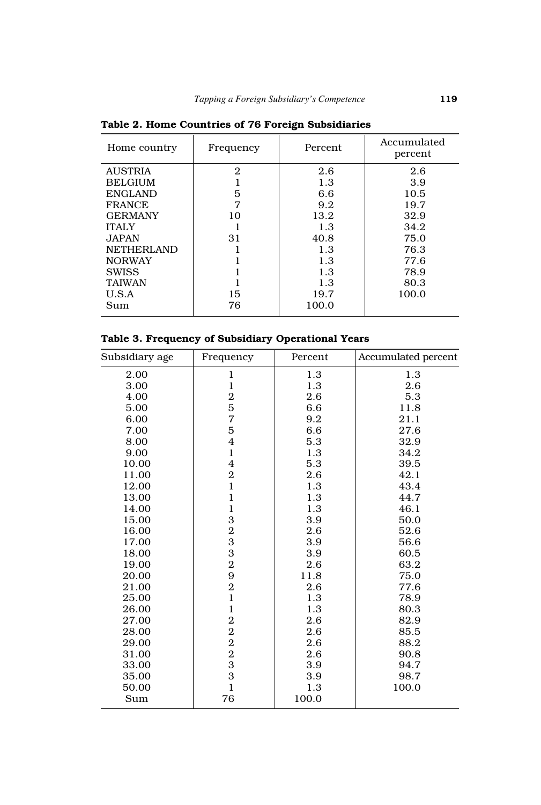| Home country      | Frequency      | Percent | Accumulated<br>percent |
|-------------------|----------------|---------|------------------------|
| <b>AUSTRIA</b>    | $\overline{2}$ | 2.6     | 2.6                    |
| <b>BELGIUM</b>    |                | 1.3     | 3.9                    |
| <b>ENGLAND</b>    | 5              | 6.6     | 10.5                   |
| <b>FRANCE</b>     | 7              | 9.2     | 19.7                   |
| <b>GERMANY</b>    | 10             | 13.2    | 32.9                   |
| <b>ITALY</b>      |                | 1.3     | 34.2                   |
| JAPAN.            | 31             | 40.8    | 75.0                   |
| <b>NETHERLAND</b> |                | 1.3     | 76.3                   |
| <b>NORWAY</b>     |                | 1.3     | 77.6                   |
| <b>SWISS</b>      |                | 1.3     | 78.9                   |
| <b>TAIWAN</b>     |                | 1.3     | 80.3                   |
| U.S.A             | 15             | 19.7    | 100.0                  |
| Sum               | 76             | 100.0   |                        |

**Table 2. Home Countries of 76 Foreign Subsidiaries**

## **Table 3. Frequency of Subsidiary Operational Years**

| Subsidiary age | Frequency      | Percent | Accumulated percent |
|----------------|----------------|---------|---------------------|
| 2.00           | 1              | 1.3     | 1.3                 |
| 3.00           | $\mathbf 1$    | 1.3     | 2.6                 |
| 4.00           | $\overline{2}$ | 2.6     | 5.3                 |
| 5.00           | 5              | 6.6     | 11.8                |
| 6.00           | 7              | 9.2     | 21.1                |
| 7.00           | 5              | 6.6     | 27.6                |
| 8.00           | $\overline{4}$ | 5.3     | 32.9                |
| 9.00           | $\mathbf{1}$   | 1.3     | 34.2                |
| 10.00          | $\overline{4}$ | 5.3     | 39.5                |
| 11.00          | $\overline{2}$ | 2.6     | 42.1                |
| 12.00          | $\mathbf{1}$   | 1.3     | 43.4                |
| 13.00          | $\mathbf{1}$   | 1.3     | 44.7                |
| 14.00          | $\mathbf{1}$   | 1.3     | 46.1                |
| 15.00          | 3              | 3.9     | 50.0                |
| 16.00          | $\overline{2}$ | 2.6     | 52.6                |
| 17.00          | 3              | 3.9     | 56.6                |
| 18.00          | 3              | 3.9     | 60.5                |
| 19.00          | $\overline{2}$ | 2.6     | 63.2                |
| 20.00          | 9              | 11.8    | 75.0                |
| 21.00          | $\overline{2}$ | 2.6     | 77.6                |
| 25.00          | $\mathbf{1}$   | 1.3     | 78.9                |
| 26.00          | $\mathbf{1}$   | 1.3     | 80.3                |
| 27.00          | $\overline{2}$ | 2.6     | 82.9                |
| 28.00          | $\overline{2}$ | 2.6     | 85.5                |
| 29.00          | $\overline{2}$ | 2.6     | 88.2                |
| 31.00          | $\overline{2}$ | 2.6     | 90.8                |
| 33.00          | 3              | 3.9     | 94.7                |
| 35.00          | 3              | 3.9     | 98.7                |
| 50.00          | $\mathbf{1}$   | 1.3     | 100.0               |
| Sum            | 76             | 100.0   |                     |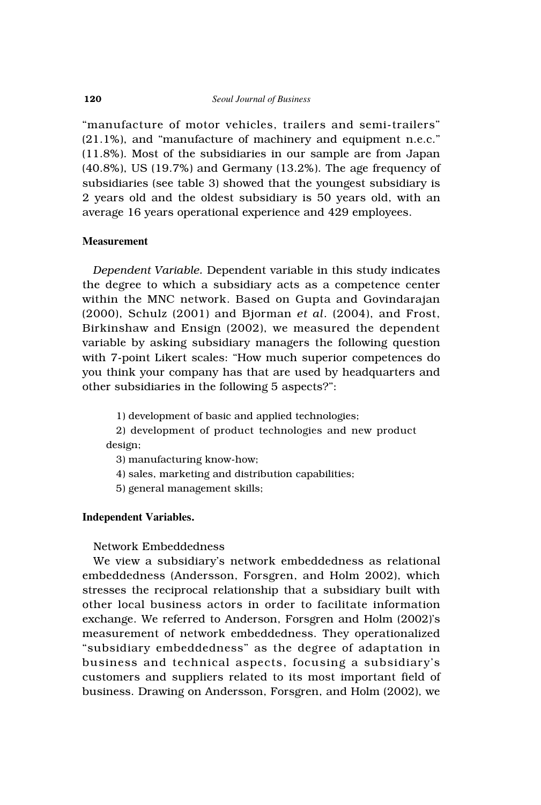"manufacture of motor vehicles, trailers and semi-trailers" (21.1%), and "manufacture of machinery and equipment n.e.c." (11.8%). Most of the subsidiaries in our sample are from Japan (40.8%), US (19.7%) and Germany (13.2%). The age frequency of subsidiaries (see table 3) showed that the youngest subsidiary is 2 years old and the oldest subsidiary is 50 years old, with an average 16 years operational experience and 429 employees.

## **Measurement**

*Dependent Variable.* Dependent variable in this study indicates the degree to which a subsidiary acts as a competence center within the MNC network. Based on Gupta and Govindarajan (2000), Schulz (2001) and Bjorman *et al*. (2004), and Frost, Birkinshaw and Ensign (2002), we measured the dependent variable by asking subsidiary managers the following question with 7-point Likert scales: "How much superior competences do you think your company has that are used by headquarters and other subsidiaries in the following 5 aspects?":

1) development of basic and applied technologies;

2) development of product technologies and new product design;

3) manufacturing know-how;

4) sales, marketing and distribution capabilities;

5) general management skills;

### **Independent Variables.**

## Network Embeddedness

We view a subsidiary's network embeddedness as relational embeddedness (Andersson, Forsgren, and Holm 2002), which stresses the reciprocal relationship that a subsidiary built with other local business actors in order to facilitate information exchange. We referred to Anderson, Forsgren and Holm (2002)'s measurement of network embeddedness. They operationalized "subsidiary embeddedness" as the degree of adaptation in business and technical aspects, focusing a subsidiary's customers and suppliers related to its most important field of business. Drawing on Andersson, Forsgren, and Holm (2002), we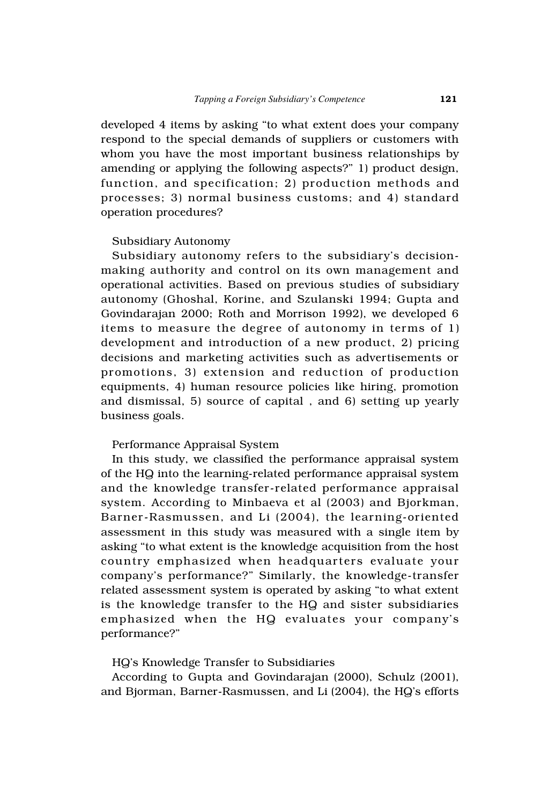developed 4 items by asking "to what extent does your company respond to the special demands of suppliers or customers with whom you have the most important business relationships by amending or applying the following aspects?" 1) product design, function, and specification; 2) production methods and processes; 3) normal business customs; and 4) standard operation procedures?

#### Subsidiary Autonomy

Subsidiary autonomy refers to the subsidiary's decisionmaking authority and control on its own management and operational activities. Based on previous studies of subsidiary autonomy (Ghoshal, Korine, and Szulanski 1994; Gupta and Govindarajan 2000; Roth and Morrison 1992), we developed 6 items to measure the degree of autonomy in terms of 1) development and introduction of a new product, 2) pricing decisions and marketing activities such as advertisements or promotions, 3) extension and reduction of production equipments, 4) human resource policies like hiring, promotion and dismissal, 5) source of capital , and 6) setting up yearly business goals.

## Performance Appraisal System

In this study, we classified the performance appraisal system of the HQ into the learning-related performance appraisal system and the knowledge transfer-related performance appraisal system. According to Minbaeva et al (2003) and Bjorkman, Barner-Rasmussen, and Li (2004), the learning-oriented assessment in this study was measured with a single item by asking "to what extent is the knowledge acquisition from the host country emphasized when headquarters evaluate your company's performance?" Similarly, the knowledge-transfer related assessment system is operated by asking "to what extent is the knowledge transfer to the HQ and sister subsidiaries emphasized when the HQ evaluates your company's performance?"

## HQ's Knowledge Transfer to Subsidiaries

According to Gupta and Govindarajan (2000), Schulz (2001), and Bjorman, Barner-Rasmussen, and Li (2004), the HQ's efforts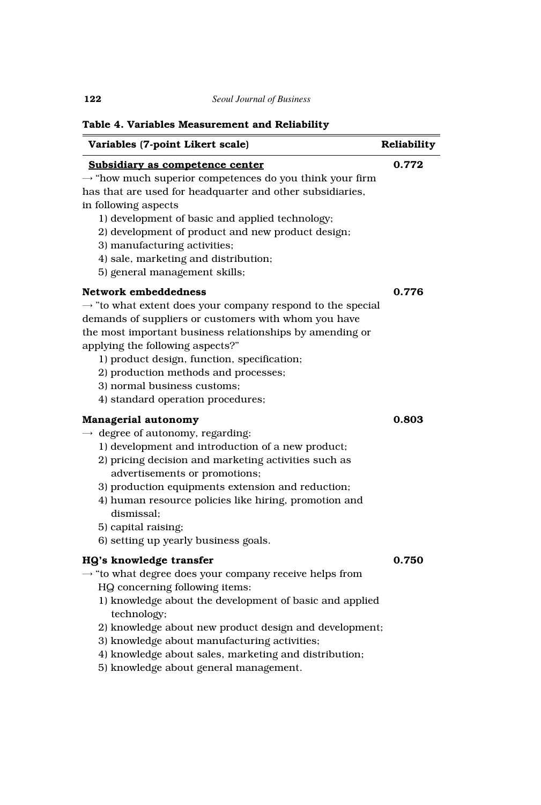| Table 4. Variables Measurement and Reliability                                                                                                                                                                                                                                                                                                                                                                         |             |
|------------------------------------------------------------------------------------------------------------------------------------------------------------------------------------------------------------------------------------------------------------------------------------------------------------------------------------------------------------------------------------------------------------------------|-------------|
| Variables (7-point Likert scale)                                                                                                                                                                                                                                                                                                                                                                                       | Reliability |
| Subsidiary as competence center<br>$\rightarrow$ "how much superior competences do you think your firm<br>has that are used for headquarter and other subsidiaries,<br>in following aspects<br>1) development of basic and applied technology;<br>2) development of product and new product design;<br>3) manufacturing activities;<br>4) sale, marketing and distribution;<br>5) general management skills;           | 0.772       |
| Network embeddedness<br>$\rightarrow$ "to what extent does your company respond to the special<br>demands of suppliers or customers with whom you have<br>the most important business relationships by amending or<br>applying the following aspects?"<br>1) product design, function, specification;<br>2) production methods and processes;<br>3) normal business customs;<br>4) standard operation procedures;      | 0.776       |
| Managerial autonomy<br>$\rightarrow$ degree of autonomy, regarding:<br>1) development and introduction of a new product;<br>2) pricing decision and marketing activities such as<br>advertisements or promotions;<br>3) production equipments extension and reduction;<br>4) human resource policies like hiring, promotion and<br>dismissal;<br>5) capital raising;<br>6) setting up yearly business goals.           | 0.803       |
| HQ's knowledge transfer<br>$\rightarrow$ "to what degree does your company receive helps from<br>HQ concerning following items:<br>1) knowledge about the development of basic and applied<br>technology;<br>2) knowledge about new product design and development;<br>3) knowledge about manufacturing activities;<br>4) knowledge about sales, marketing and distribution;<br>5) knowledge about general management. | 0.750       |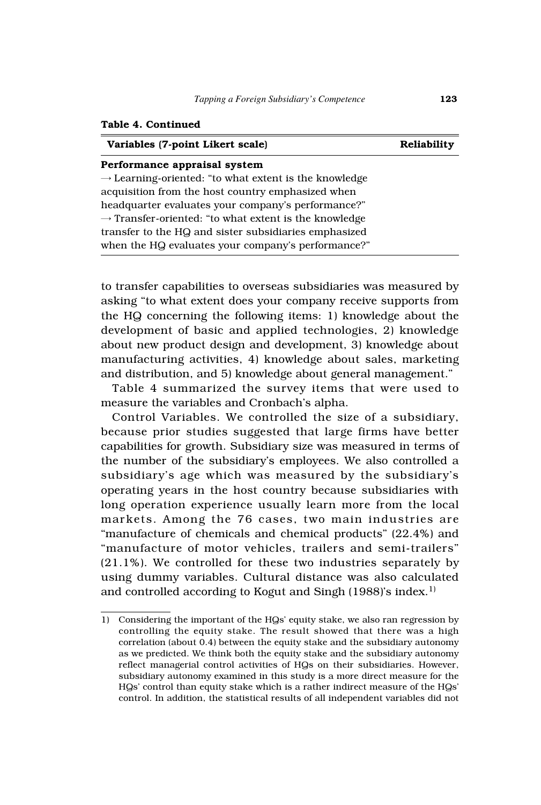#### **Table 4. Continued**

| Variables (7-point Likert scale)                                  | Reliability |
|-------------------------------------------------------------------|-------------|
| Performance appraisal system                                      |             |
| $\rightarrow$ Learning-oriented: "to what extent is the knowledge |             |
| acquisition from the host country emphasized when                 |             |
| headquarter evaluates your company's performance?"                |             |
| $\rightarrow$ Transfer-oriented: "to what extent is the knowledge |             |
| transfer to the HQ and sister subsidiaries emphasized             |             |
| when the HQ evaluates your company's performance?"                |             |

to transfer capabilities to overseas subsidiaries was measured by asking "to what extent does your company receive supports from the HQ concerning the following items: 1) knowledge about the development of basic and applied technologies, 2) knowledge about new product design and development, 3) knowledge about manufacturing activities, 4) knowledge about sales, marketing and distribution, and 5) knowledge about general management."

Table 4 summarized the survey items that were used to measure the variables and Cronbach's alpha.

Control Variables. We controlled the size of a subsidiary, because prior studies suggested that large firms have better capabilities for growth. Subsidiary size was measured in terms of the number of the subsidiary's employees. We also controlled a subsidiary's age which was measured by the subsidiary's operating years in the host country because subsidiaries with long operation experience usually learn more from the local markets. Among the 76 cases, two main industries are "manufacture of chemicals and chemical products" (22.4%) and "manufacture of motor vehicles, trailers and semi-trailers" (21.1%). We controlled for these two industries separately by using dummy variables. Cultural distance was also calculated and controlled according to Kogut and Singh  $(1988)$ 's index.<sup>1)</sup>

<sup>1)</sup> Considering the important of the HQs' equity stake, we also ran regression by controlling the equity stake. The result showed that there was a high correlation (about 0.4) between the equity stake and the subsidiary autonomy as we predicted. We think both the equity stake and the subsidiary autonomy reflect managerial control activities of HQs on their subsidiaries. However, subsidiary autonomy examined in this study is a more direct measure for the HQs' control than equity stake which is a rather indirect measure of the HQs' control. In addition, the statistical results of all independent variables did not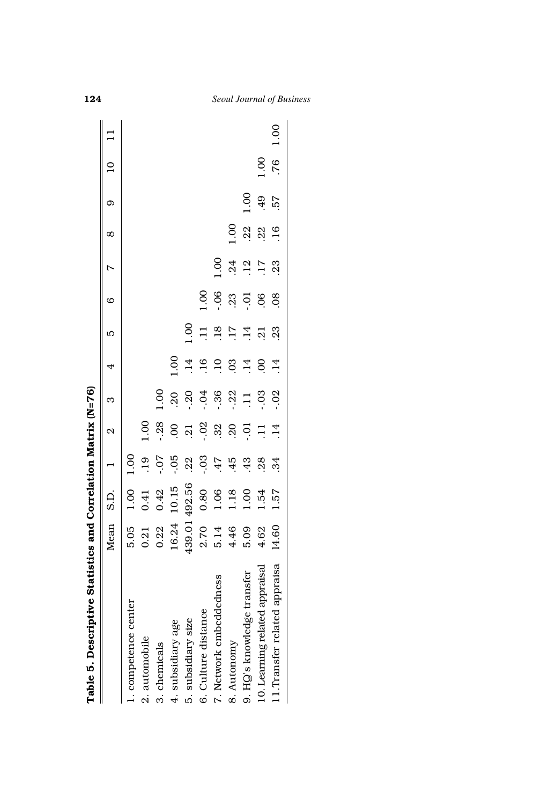| Table 5. Descriptive Statistics and Correlation Matrix (N=76) |           |               |               |                   |                |                 |                 |                  |                  |                  |      |                 |      |
|---------------------------------------------------------------|-----------|---------------|---------------|-------------------|----------------|-----------------|-----------------|------------------|------------------|------------------|------|-----------------|------|
|                                                               | Mean S.D. |               |               | $\mathbf{\Omega}$ | S              | 4               | LC              | $\circ$          | $\triangleright$ | $\infty$         | σ.   | $\overline{10}$ |      |
| 1. competence center                                          | 5.05      | 1.00          | 1.00          |                   |                |                 |                 |                  |                  |                  |      |                 |      |
| 2. automobile                                                 | 0.21      | 0.41          | $\frac{1}{2}$ | 1.00              |                |                 |                 |                  |                  |                  |      |                 |      |
| 3. chemicals                                                  | 0.22      | 0.42          | 20.-          | $-28$             | 1.00           |                 |                 |                  |                  |                  |      |                 |      |
| 4. subsidiary age                                             | 16.24     | 10.15         | $-0.05$       | $\overline{0}$    | 20             | 1.00            |                 |                  |                  |                  |      |                 |      |
| 5. subsidiary size                                            |           | 439.01 492.56 | .22           | $\ddot{5}$        | $-20$          | $\cdot$ 14      | 1.00            |                  |                  |                  |      |                 |      |
| 6. Culture distance                                           | 2.70      | 0.80          | $-0.3$        | $-0.2$            | $-0.1$         | $-16$           | $\overline{1}$  | 00.1             |                  |                  |      |                 |      |
| 7. Network embeddedness                                       | 5.14      | 1.06          | .47           | 32                | $-36$          | $\overline{10}$ | .18             | $-0.06$          | 001.0            |                  |      |                 |      |
| 8. Autonomy                                                   | 4.46      | 1.18          | $-45$         | 20                | $-22$          | 03              | $\overline{17}$ | 23               | .24              | 00.1             |      |                 |      |
| 9. HO's knowledge transfer                                    | 5.09      | 1.00          | 43            | ຣຸ                | $\overline{1}$ | $\overline{14}$ | $\frac{4}{1}$   | $\overline{0}$ . | .12              | 22               | 1.00 |                 |      |
| 10. Learning related appraisal                                | 4.62      | 1.54          | 28            |                   | $-0.3$         | S               | $\overline{c}$  | .06              | $\overline{17}$  | .22              | .49  | 1.00            |      |
| 1. Transfer related appraisa                                  | 14.60     | 1.57          | 34            | $\overline{14}$   | $-0.02$        | $\overline{14}$ | 23              | 08               | 23               | $\overline{.16}$ | 57   | .76             | 1.00 |
|                                                               |           |               |               |                   |                |                 |                 |                  |                  |                  |      |                 |      |

**124** *Seoul Journal of Business*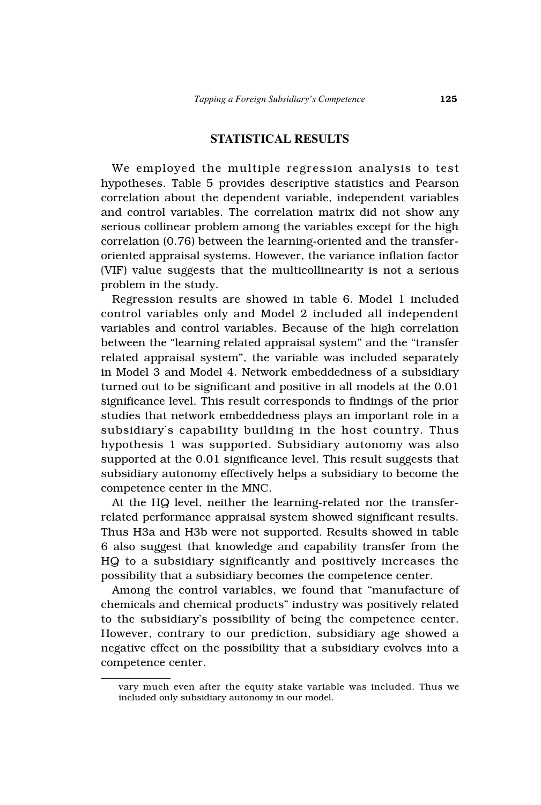## **STATISTICAL RESULTS**

We employed the multiple regression analysis to test hypotheses. Table 5 provides descriptive statistics and Pearson correlation about the dependent variable, independent variables and control variables. The correlation matrix did not show any serious collinear problem among the variables except for the high correlation (0.76) between the learning-oriented and the transferoriented appraisal systems. However, the variance inflation factor (VIF) value suggests that the multicollinearity is not a serious problem in the study.

Regression results are showed in table 6. Model 1 included control variables only and Model 2 included all independent variables and control variables. Because of the high correlation between the "learning related appraisal system" and the "transfer related appraisal system", the variable was included separately in Model 3 and Model 4. Network embeddedness of a subsidiary turned out to be significant and positive in all models at the 0.01 significance level. This result corresponds to findings of the prior studies that network embeddedness plays an important role in a subsidiary's capability building in the host country. Thus hypothesis 1 was supported. Subsidiary autonomy was also supported at the 0.01 significance level. This result suggests that subsidiary autonomy effectively helps a subsidiary to become the competence center in the MNC.

At the HQ level, neither the learning-related nor the transferrelated performance appraisal system showed significant results. Thus H3a and H3b were not supported. Results showed in table 6 also suggest that knowledge and capability transfer from the HQ to a subsidiary significantly and positively increases the possibility that a subsidiary becomes the competence center.

Among the control variables, we found that "manufacture of chemicals and chemical products" industry was positively related to the subsidiary's possibility of being the competence center. However, contrary to our prediction, subsidiary age showed a negative effect on the possibility that a subsidiary evolves into a competence center.

vary much even after the equity stake variable was included. Thus we included only subsidiary autonomy in our model.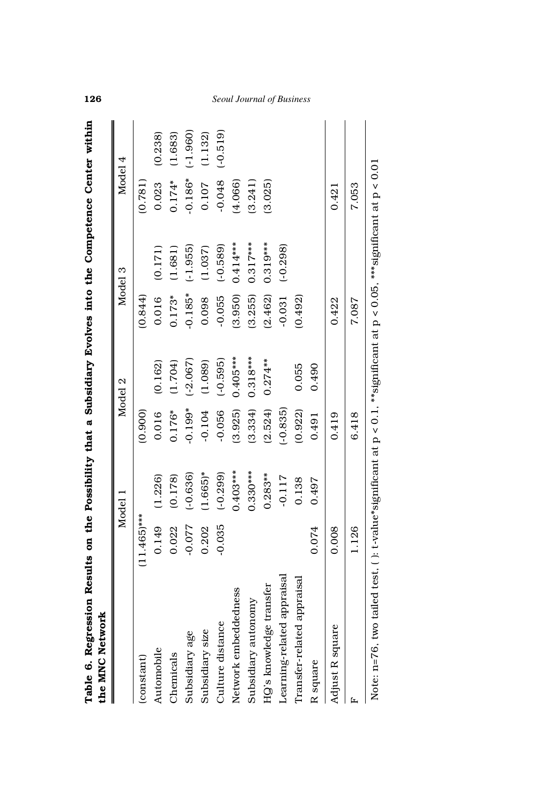|                            |               | Model      |            | Model 2    |           | Model 3                                                                                                 | Model 4   |            |
|----------------------------|---------------|------------|------------|------------|-----------|---------------------------------------------------------------------------------------------------------|-----------|------------|
| (constant)                 | $(11.465)***$ |            | (0.900)    |            | (0.844)   |                                                                                                         | (0.781)   |            |
| Automobile                 | 0.149         | (1.226)    | 0.016      | (0.162)    | 0.016     | (0.171)                                                                                                 | 0.023     | (0.238)    |
| Chemicals                  | 0.022         | (0.178)    | $0.176*$   | (1.704)    | $0.173*$  | (1.681)                                                                                                 | $0.174*$  | (1.683)    |
| Subsidiary age             | $-0.077$      | $(-0.636)$ | $-0.199*$  | $(-2.067)$ | $-0.185*$ | $(-1.955)$                                                                                              | $-0.186*$ | $(-1.960)$ |
| Subsidiary size            | 0.202         | $(1.665)*$ | $-0.104$   | (1.089)    | 0.098     | (1.037)                                                                                                 | 0.107     | (1.132)    |
| Culture distance           | $-0.035$      | $(-0.299)$ | $-0.056$   | $(-0.595)$ | $-0.055$  | $(-0.589)$                                                                                              | $-0.048$  | $(-0.519)$ |
| Network embeddedness       |               | $0.403***$ | (3.925)    | $0.405***$ | (3.950)   | $0.414***$                                                                                              | (4.066)   |            |
| Subsidiary autonomy        |               | $0.330***$ | (3.334)    | $0.318***$ | (3.255)   | $0.317***$                                                                                              | (3.241)   |            |
| HQ's knowledge transfer    |               | $0.283**$  | (2.524)    | $0.274**$  | (2.462)   | $0.319***$                                                                                              | (3.025)   |            |
| Learning-related appraisal |               | $-0.117$   | $(-0.835)$ |            | $-0.031$  | $(-0.298)$                                                                                              |           |            |
| Transfer-related appraisal |               | 0.138      | (0.922)    | 0.055      | (0.492)   |                                                                                                         |           |            |
| R square                   | 0.074         | 0.497      | 0.491      | 0.490      |           |                                                                                                         |           |            |
| Adjust R square            | 0.008         |            | 0.419      |            | 0.422     |                                                                                                         | 0.421     |            |
|                            | 1.126         |            | 6.418      |            | 7.087     |                                                                                                         | 7.053     |            |
| Note: n=76, two            |               |            |            |            |           | tailed test, ( ): t-value*significant at p < 0.1, **significant at p < 0.05, ***significant at p < 0.01 |           |            |

**126** *Seoul Journal of Business*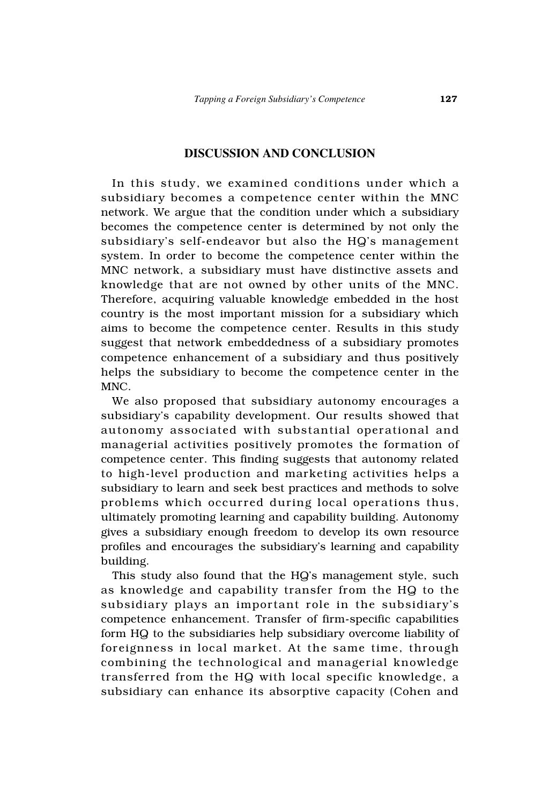## **DISCUSSION AND CONCLUSION**

In this study, we examined conditions under which a subsidiary becomes a competence center within the MNC network. We argue that the condition under which a subsidiary becomes the competence center is determined by not only the subsidiary's self-endeavor but also the HQ's management system. In order to become the competence center within the MNC network, a subsidiary must have distinctive assets and knowledge that are not owned by other units of the MNC. Therefore, acquiring valuable knowledge embedded in the host country is the most important mission for a subsidiary which aims to become the competence center. Results in this study suggest that network embeddedness of a subsidiary promotes competence enhancement of a subsidiary and thus positively helps the subsidiary to become the competence center in the MNC.

We also proposed that subsidiary autonomy encourages a subsidiary's capability development. Our results showed that autonomy associated with substantial operational and managerial activities positively promotes the formation of competence center. This finding suggests that autonomy related to high-level production and marketing activities helps a subsidiary to learn and seek best practices and methods to solve problems which occurred during local operations thus, ultimately promoting learning and capability building. Autonomy gives a subsidiary enough freedom to develop its own resource profiles and encourages the subsidiary's learning and capability building.

This study also found that the HQ's management style, such as knowledge and capability transfer from the HQ to the subsidiary plays an important role in the subsidiary's competence enhancement. Transfer of firm-specific capabilities form HQ to the subsidiaries help subsidiary overcome liability of foreignness in local market. At the same time, through combining the technological and managerial knowledge transferred from the HQ with local specific knowledge, a subsidiary can enhance its absorptive capacity (Cohen and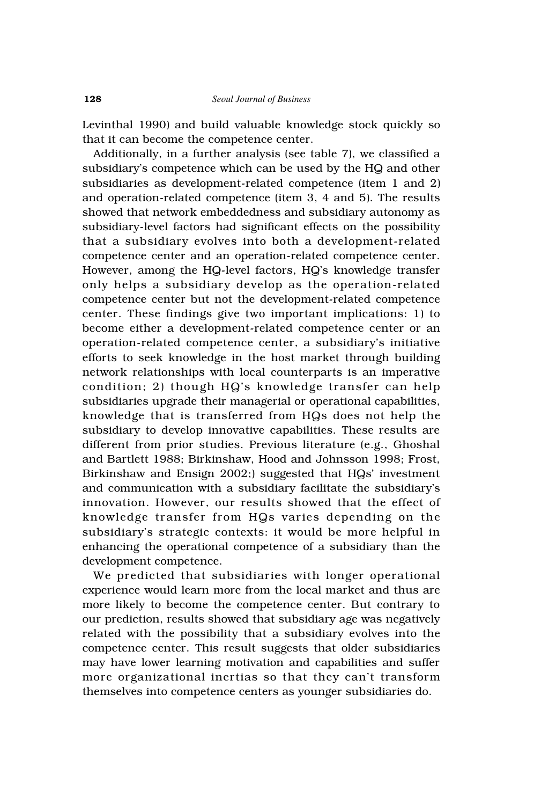Levinthal 1990) and build valuable knowledge stock quickly so that it can become the competence center.

Additionally, in a further analysis (see table 7), we classified a subsidiary's competence which can be used by the HQ and other subsidiaries as development-related competence (item 1 and 2) and operation-related competence (item 3, 4 and 5). The results showed that network embeddedness and subsidiary autonomy as subsidiary-level factors had significant effects on the possibility that a subsidiary evolves into both a development-related competence center and an operation-related competence center. However, among the HQ-level factors, HQ's knowledge transfer only helps a subsidiary develop as the operation-related competence center but not the development-related competence center. These findings give two important implications: 1) to become either a development-related competence center or an operation-related competence center, a subsidiary's initiative efforts to seek knowledge in the host market through building network relationships with local counterparts is an imperative condition; 2) though HQ's knowledge transfer can help subsidiaries upgrade their managerial or operational capabilities, knowledge that is transferred from HQs does not help the subsidiary to develop innovative capabilities. These results are different from prior studies. Previous literature (e.g., Ghoshal and Bartlett 1988; Birkinshaw, Hood and Johnsson 1998; Frost, Birkinshaw and Ensign 2002;) suggested that HQs' investment and communication with a subsidiary facilitate the subsidiary's innovation. However, our results showed that the effect of knowledge transfer from HQs varies depending on the subsidiary's strategic contexts: it would be more helpful in enhancing the operational competence of a subsidiary than the development competence.

We predicted that subsidiaries with longer operational experience would learn more from the local market and thus are more likely to become the competence center. But contrary to our prediction, results showed that subsidiary age was negatively related with the possibility that a subsidiary evolves into the competence center. This result suggests that older subsidiaries may have lower learning motivation and capabilities and suffer more organizational inertias so that they can't transform themselves into competence centers as younger subsidiaries do.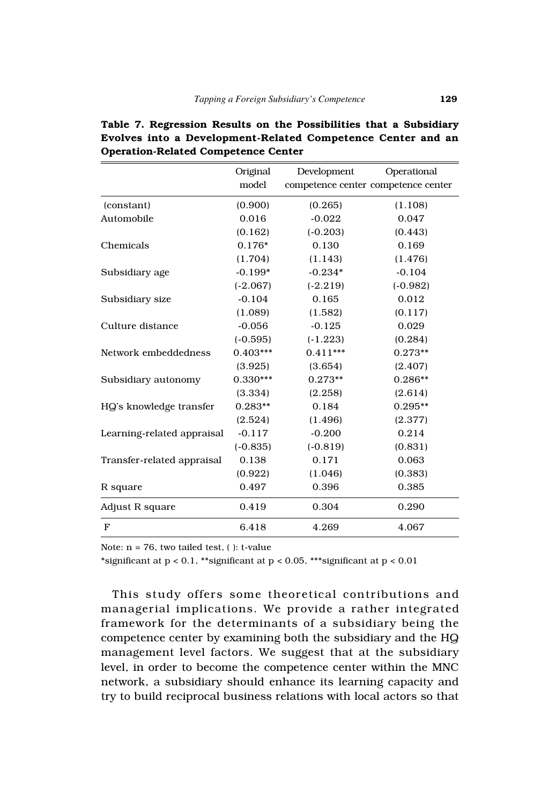|                            | Original   | Development                         | Operational |
|----------------------------|------------|-------------------------------------|-------------|
|                            | model      | competence center competence center |             |
| (constant)                 | (0.900)    | (0.265)                             | (1.108)     |
| Automobile                 | 0.016      | $-0.022$                            | 0.047       |
|                            | (0.162)    | $(-0.203)$                          | (0.443)     |
| Chemicals                  | $0.176*$   | 0.130                               | 0.169       |
|                            | (1.704)    | (1.143)                             | (1.476)     |
| Subsidiary age             | $-0.199*$  | $-0.234*$                           | $-0.104$    |
|                            | $(-2.067)$ | $(-2.219)$                          | $(-0.982)$  |
| Subsidiary size            | $-0.104$   | 0.165                               | 0.012       |
|                            | (1.089)    | (1.582)                             | (0.117)     |
| Culture distance           | $-0.056$   | $-0.125$                            | 0.029       |
|                            | $(-0.595)$ | $(-1.223)$                          | (0.284)     |
| Network embeddedness       | $0.403***$ | $0.411***$                          | $0.273**$   |
|                            | (3.925)    | (3.654)                             | (2.407)     |
| Subsidiary autonomy        | $0.330***$ | $0.273**$                           | $0.286**$   |
|                            | (3.334)    | (2.258)                             | (2.614)     |
| HQ's knowledge transfer    | $0.283**$  | 0.184                               | $0.295**$   |
|                            | (2.524)    | (1.496)                             | (2.377)     |
| Learning-related appraisal | $-0.117$   | $-0.200$                            | 0.214       |
|                            | $(-0.835)$ | $(-0.819)$                          | (0.831)     |
| Transfer-related appraisal | 0.138      | 0.171                               | 0.063       |
|                            | (0.922)    | (1.046)                             | (0.383)     |
| R square                   | 0.497      | 0.396                               | 0.385       |
| Adjust R square            | 0.419      | 0.304                               | 0.290       |
| F                          | 6.418      | 4.269                               | 4.067       |

**Table 7. Regression Results on the Possibilities that a Subsidiary Evolves into a Development-Related Competence Center and an Operation-Related Competence Center**

Note:  $n = 76$ , two tailed test, ( ): t-value

\*significant at  $p < 0.1$ , \*\*significant at  $p < 0.05$ , \*\*\*significant at  $p < 0.01$ 

This study offers some theoretical contributions and managerial implications. We provide a rather integrated framework for the determinants of a subsidiary being the competence center by examining both the subsidiary and the HQ management level factors. We suggest that at the subsidiary level, in order to become the competence center within the MNC network, a subsidiary should enhance its learning capacity and try to build reciprocal business relations with local actors so that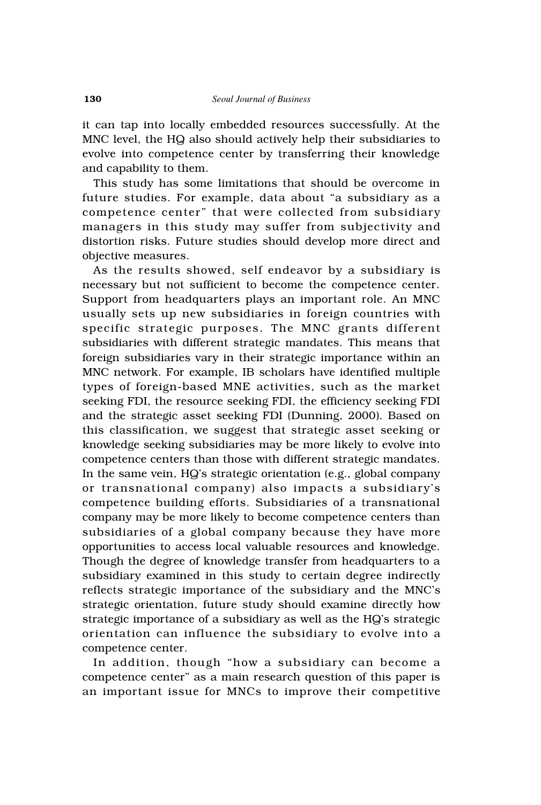it can tap into locally embedded resources successfully. At the MNC level, the HQ also should actively help their subsidiaries to evolve into competence center by transferring their knowledge and capability to them.

This study has some limitations that should be overcome in future studies. For example, data about "a subsidiary as a competence center" that were collected from subsidiary managers in this study may suffer from subjectivity and distortion risks. Future studies should develop more direct and objective measures.

As the results showed, self endeavor by a subsidiary is necessary but not sufficient to become the competence center. Support from headquarters plays an important role. An MNC usually sets up new subsidiaries in foreign countries with specific strategic purposes. The MNC grants different subsidiaries with different strategic mandates. This means that foreign subsidiaries vary in their strategic importance within an MNC network. For example, IB scholars have identified multiple types of foreign-based MNE activities, such as the market seeking FDI, the resource seeking FDI, the efficiency seeking FDI and the strategic asset seeking FDI (Dunning, 2000). Based on this classification, we suggest that strategic asset seeking or knowledge seeking subsidiaries may be more likely to evolve into competence centers than those with different strategic mandates. In the same vein, HQ's strategic orientation (e.g., global company or transnational company) also impacts a subsidiary's competence building efforts. Subsidiaries of a transnational company may be more likely to become competence centers than subsidiaries of a global company because they have more opportunities to access local valuable resources and knowledge. Though the degree of knowledge transfer from headquarters to a subsidiary examined in this study to certain degree indirectly reflects strategic importance of the subsidiary and the MNC's strategic orientation, future study should examine directly how strategic importance of a subsidiary as well as the HQ's strategic orientation can influence the subsidiary to evolve into a competence center.

In addition, though "how a subsidiary can become a competence center" as a main research question of this paper is an important issue for MNCs to improve their competitive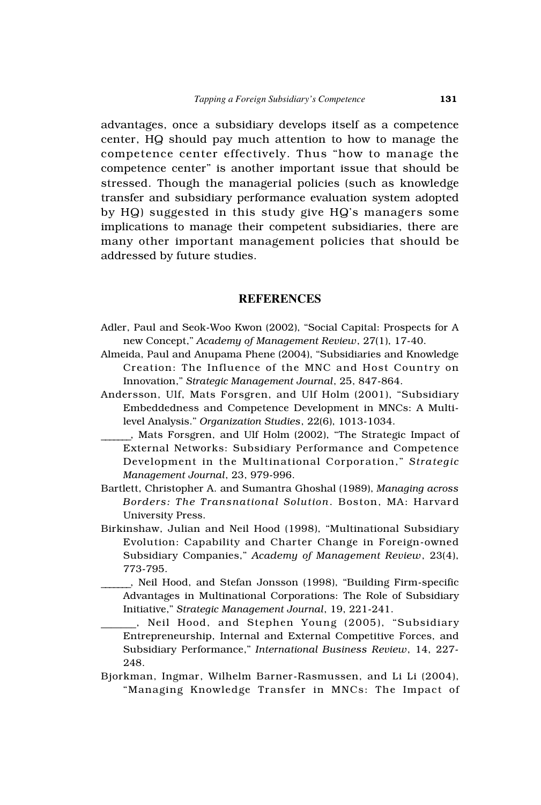advantages, once a subsidiary develops itself as a competence center, HQ should pay much attention to how to manage the competence center effectively. Thus "how to manage the competence center" is another important issue that should be stressed. Though the managerial policies (such as knowledge transfer and subsidiary performance evaluation system adopted by HQ) suggested in this study give HQ's managers some implications to manage their competent subsidiaries, there are many other important management policies that should be addressed by future studies.

## **REFERENCES**

- Adler, Paul and Seok-Woo Kwon (2002), "Social Capital: Prospects for A new Concept," *Academy of Management Review*, 27(1), 17-40.
- Almeida, Paul and Anupama Phene (2004), "Subsidiaries and Knowledge Creation: The Influence of the MNC and Host Country on Innovation," *Strategic Management Journal*, 25, 847-864.
- Andersson, Ulf, Mats Forsgren, and Ulf Holm (2001), "Subsidiary Embeddedness and Competence Development in MNCs: A Multilevel Analysis." *Organization Studies*, 22(6), 1013-1034.
- \_\_\_\_\_\_\_, Mats Forsgren, and Ulf Holm (2002), "The Strategic Impact of External Networks: Subsidiary Performance and Competence Development in the Multinational Corporation," *Strategic Management Journal*, 23, 979-996.
- Bartlett, Christopher A. and Sumantra Ghoshal (1989), *Managing across Borders: The Transnational Solution*. Boston, MA: Harvard University Press.
- Birkinshaw, Julian and Neil Hood (1998), "Multinational Subsidiary Evolution: Capability and Charter Change in Foreign-owned Subsidiary Companies," *Academy of Management Review*, 23(4), 773-795.
- \_\_\_\_\_\_\_, Neil Hood, and Stefan Jonsson (1998), "Building Firm-specific Advantages in Multinational Corporations: The Role of Subsidiary Initiative," *Strategic Management Journal*, 19, 221-241.
	- \_\_\_\_\_\_\_, Neil Hood, and Stephen Young (2005), "Subsidiary Entrepreneurship, Internal and External Competitive Forces, and Subsidiary Performance," *International Business Review*, 14, 227- 248.
- Bjorkman, Ingmar, Wilhelm Barner-Rasmussen, and Li Li (2004), "Managing Knowledge Transfer in MNCs: The Impact of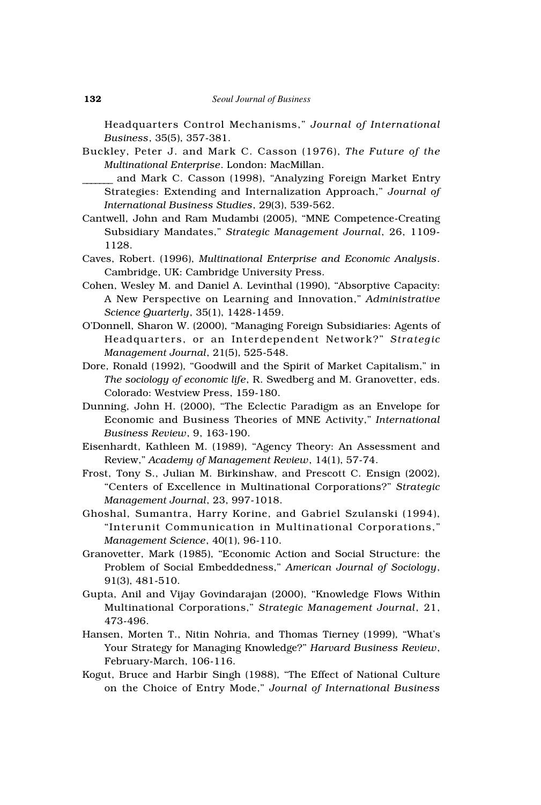Headquarters Control Mechanisms," *Journal of International Business*, 35(5), 357-381.

Buckley, Peter J. and Mark C. Casson (1976), *The Future of the Multinational Enterprise*. London: MacMillan.

and Mark C. Casson (1998), "Analyzing Foreign Market Entry Strategies: Extending and Internalization Approach," *Journal of International Business Studies*, 29(3), 539-562.

- Cantwell, John and Ram Mudambi (2005), "MNE Competence-Creating Subsidiary Mandates," *Strategic Management Journal*, 26, 1109- 1128.
- Caves, Robert. (1996), *Multinational Enterprise and Economic Analysis*. Cambridge, UK: Cambridge University Press.
- Cohen, Wesley M. and Daniel A. Levinthal (1990), "Absorptive Capacity: A New Perspective on Learning and Innovation," *Administrative Science Quarterly*, 35(1), 1428-1459.
- O'Donnell, Sharon W. (2000), "Managing Foreign Subsidiaries: Agents of Headquarters, or an Interdependent Network?" *Strategic Management Journal*, 21(5), 525-548.
- Dore, Ronald (1992), "Goodwill and the Spirit of Market Capitalism," in *The sociology of economic life*, R. Swedberg and M. Granovetter, eds. Colorado: Westview Press, 159-180.
- Dunning, John H. (2000), "The Eclectic Paradigm as an Envelope for Economic and Business Theories of MNE Activity," *International Business Review*, 9, 163-190.
- Eisenhardt, Kathleen M. (1989), "Agency Theory: An Assessment and Review," *Academy of Management Review*, 14(1), 57-74.
- Frost, Tony S., Julian M. Birkinshaw, and Prescott C. Ensign (2002), "Centers of Excellence in Multinational Corporations?" *Strategic Management Journal*, 23, 997-1018.
- Ghoshal, Sumantra, Harry Korine, and Gabriel Szulanski (1994), "Interunit Communication in Multinational Corporations," *Management Science*, 40(1), 96-110.
- Granovetter, Mark (1985), "Economic Action and Social Structure: the Problem of Social Embeddedness," *American Journal of Sociology*, 91(3), 481-510.
- Gupta, Anil and Vijay Govindarajan (2000), "Knowledge Flows Within Multinational Corporations," *Strategic Management Journal*, 21, 473-496.
- Hansen, Morten T., Nitin Nohria, and Thomas Tierney (1999), "What's Your Strategy for Managing Knowledge?" *Harvard Business Review*, February-March, 106-116.
- Kogut, Bruce and Harbir Singh (1988), "The Effect of National Culture on the Choice of Entry Mode," *Journal of International Business*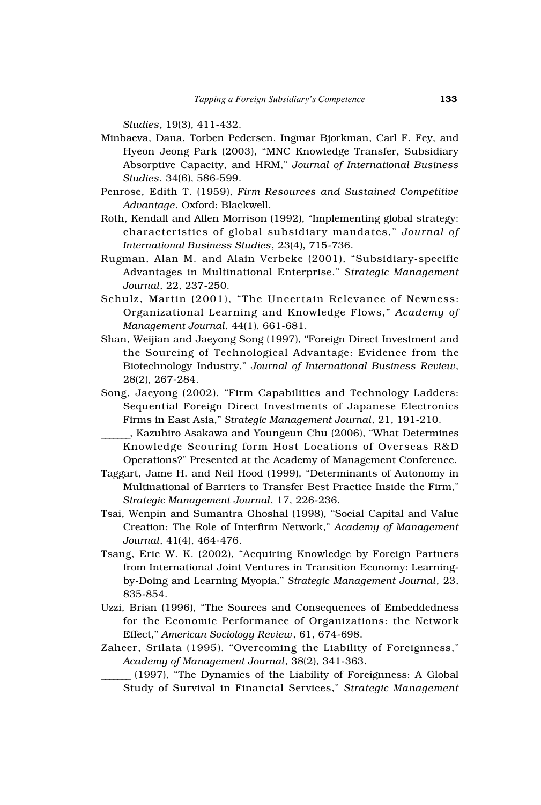*Studies*, 19(3), 411-432.

- Minbaeva, Dana, Torben Pedersen, Ingmar Bjorkman, Carl F. Fey, and Hyeon Jeong Park (2003), "MNC Knowledge Transfer, Subsidiary Absorptive Capacity, and HRM," *Journal of International Business Studies*, 34(6), 586-599.
- Penrose, Edith T. (1959), *Firm Resources and Sustained Competitive Advantage*. Oxford: Blackwell.
- Roth, Kendall and Allen Morrison (1992), "Implementing global strategy: characteristics of global subsidiary mandates," *Journal of International Business Studies*, 23(4), 715-736.
- Rugman, Alan M. and Alain Verbeke (2001), "Subsidiary-specific Advantages in Multinational Enterprise," *Strategic Management Journal*, 22, 237-250.
- Schulz, Martin (2001), "The Uncertain Relevance of Newness: Organizational Learning and Knowledge Flows," *Academy of Management Journal*, 44(1), 661-681.
- Shan, Weijian and Jaeyong Song (1997), "Foreign Direct Investment and the Sourcing of Technological Advantage: Evidence from the Biotechnology Industry," *Journal of International Business Review*, 28(2), 267-284.
- Song, Jaeyong (2002), "Firm Capabilities and Technology Ladders: Sequential Foreign Direct Investments of Japanese Electronics Firms in East Asia," *Strategic Management Journal*, 21, 191-210.
- \_\_\_\_\_\_\_, Kazuhiro Asakawa and Youngeun Chu (2006), "What Determines Knowledge Scouring form Host Locations of Overseas R&D Operations?" Presented at the Academy of Management Conference.
- Taggart, Jame H. and Neil Hood (1999), "Determinants of Autonomy in Multinational of Barriers to Transfer Best Practice Inside the Firm," *Strategic Management Journal*, 17, 226-236.
- Tsai, Wenpin and Sumantra Ghoshal (1998), "Social Capital and Value Creation: The Role of Interfirm Network," *Academy of Management Journal*, 41(4), 464-476.
- Tsang, Eric W. K. (2002), "Acquiring Knowledge by Foreign Partners from International Joint Ventures in Transition Economy: Learningby-Doing and Learning Myopia," *Strategic Management Journal*, 23, 835-854.
- Uzzi, Brian (1996), "The Sources and Consequences of Embeddedness for the Economic Performance of Organizations: the Network Effect," *American Sociology Review*, 61, 674-698.
- Zaheer, Srilata (1995), "Overcoming the Liability of Foreignness," *Academy of Management Journal*, 38(2), 341-363.
	- \_\_\_\_\_\_\_ (1997), "The Dynamics of the Liability of Foreignness: A Global Study of Survival in Financial Services," *Strategic Management*